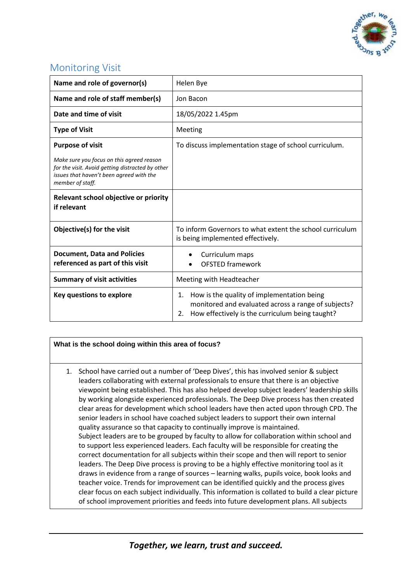

## Monitoring Visit

| Name and role of governor(s)                                                                                                                                  | Helen Bye                                                                                                                                                        |
|---------------------------------------------------------------------------------------------------------------------------------------------------------------|------------------------------------------------------------------------------------------------------------------------------------------------------------------|
| Name and role of staff member(s)                                                                                                                              | Jon Bacon                                                                                                                                                        |
| Date and time of visit                                                                                                                                        | 18/05/2022 1.45pm                                                                                                                                                |
| <b>Type of Visit</b>                                                                                                                                          | Meeting                                                                                                                                                          |
| <b>Purpose of visit</b>                                                                                                                                       | To discuss implementation stage of school curriculum.                                                                                                            |
| Make sure you focus on this agreed reason<br>for the visit. Avoid getting distracted by other<br>issues that haven't been agreed with the<br>member of staff. |                                                                                                                                                                  |
| Relevant school objective or priority<br>if relevant                                                                                                          |                                                                                                                                                                  |
| Objective(s) for the visit                                                                                                                                    | To inform Governors to what extent the school curriculum<br>is being implemented effectively.                                                                    |
| <b>Document, Data and Policies</b><br>referenced as part of this visit                                                                                        | Curriculum maps<br><b>OFSTED framework</b>                                                                                                                       |
| <b>Summary of visit activities</b>                                                                                                                            | Meeting with Headteacher                                                                                                                                         |
| Key questions to explore                                                                                                                                      | How is the quality of implementation being<br>1.<br>monitored and evaluated across a range of subjects?<br>How effectively is the curriculum being taught?<br>2. |

## **What is the school doing within this area of focus?**

1. School have carried out a number of 'Deep Dives', this has involved senior & subject leaders collaborating with external professionals to ensure that there is an objective viewpoint being established. This has also helped develop subject leaders' leadership skills by working alongside experienced professionals. The Deep Dive process has then created clear areas for development which school leaders have then acted upon through CPD. The senior leaders in school have coached subject leaders to support their own internal quality assurance so that capacity to continually improve is maintained. Subject leaders are to be grouped by faculty to allow for collaboration within school and to support less experienced leaders. Each faculty will be responsible for creating the correct documentation for all subjects within their scope and then will report to senior leaders. The Deep Dive process is proving to be a highly effective monitoring tool as it draws in evidence from a range of sources – learning walks, pupils voice, book looks and teacher voice. Trends for improvement can be identified quickly and the process gives clear focus on each subject individually. This information is collated to build a clear picture of school improvement priorities and feeds into future development plans. All subjects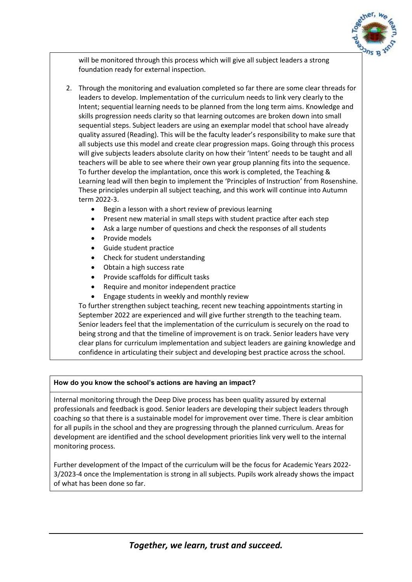

will be monitored through this process which will give all subject leaders a strong foundation ready for external inspection.

- 2. Through the monitoring and evaluation completed so far there are some clear threads for leaders to develop. Implementation of the curriculum needs to link very clearly to the Intent; sequential learning needs to be planned from the long term aims. Knowledge and skills progression needs clarity so that learning outcomes are broken down into small sequential steps. Subject leaders are using an exemplar model that school have already quality assured (Reading). This will be the faculty leader's responsibility to make sure that all subjects use this model and create clear progression maps. Going through this process will give subjects leaders absolute clarity on how their 'Intent' needs to be taught and all teachers will be able to see where their own year group planning fits into the sequence. To further develop the implantation, once this work is completed, the Teaching & Learning lead will then begin to implement the 'Principles of Instruction' from Rosenshine. These principles underpin all subject teaching, and this work will continue into Autumn term 2022-3.
	- Begin a lesson with a short review of previous learning
	- Present new material in small steps with student practice after each step
	- Ask a large number of questions and check the responses of all students
	- Provide models
	- Guide student practice
	- Check for student understanding
	- Obtain a high success rate
	- Provide scaffolds for difficult tasks
	- Require and monitor independent practice
	- Engage students in weekly and monthly review

To further strengthen subject teaching, recent new teaching appointments starting in September 2022 are experienced and will give further strength to the teaching team. Senior leaders feel that the implementation of the curriculum is securely on the road to being strong and that the timeline of improvement is on track. Senior leaders have very clear plans for curriculum implementation and subject leaders are gaining knowledge and confidence in articulating their subject and developing best practice across the school.

## **How do you know the school's actions are having an impact?**

Internal monitoring through the Deep Dive process has been quality assured by external professionals and feedback is good. Senior leaders are developing their subject leaders through coaching so that there is a sustainable model for improvement over time. There is clear ambition for all pupils in the school and they are progressing through the planned curriculum. Areas for development are identified and the school development priorities link very well to the internal monitoring process.

Further development of the Impact of the curriculum will be the focus for Academic Years 2022- 3/2023-4 once the Implementation is strong in all subjects. Pupils work already shows the impact of what has been done so far.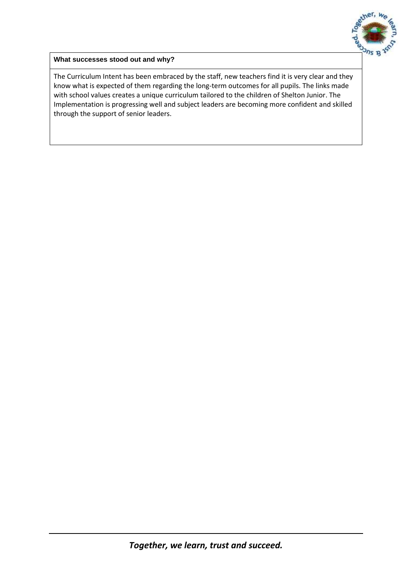

**What successes stood out and why?**

The Curriculum Intent has been embraced by the staff, new teachers find it is very clear and they know what is expected of them regarding the long-term outcomes for all pupils. The links made with school values creates a unique curriculum tailored to the children of Shelton Junior. The Implementation is progressing well and subject leaders are becoming more confident and skilled through the support of senior leaders.